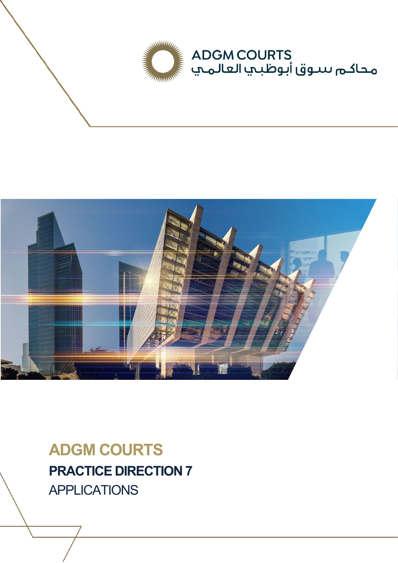



**ADGM COURTS PRACTICE DIRECTION 7** APPLICATIONS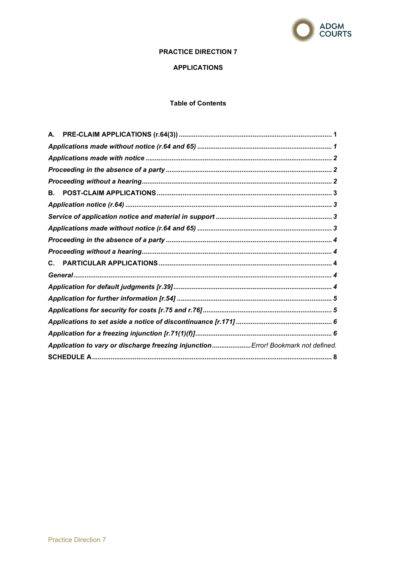

# **PRACTICE DIRECTION 7**

# **APPLICATIONS**

# **Table of Contents**

| А.                                                                                |  |  |  |  |
|-----------------------------------------------------------------------------------|--|--|--|--|
|                                                                                   |  |  |  |  |
|                                                                                   |  |  |  |  |
|                                                                                   |  |  |  |  |
|                                                                                   |  |  |  |  |
| В.                                                                                |  |  |  |  |
|                                                                                   |  |  |  |  |
|                                                                                   |  |  |  |  |
|                                                                                   |  |  |  |  |
|                                                                                   |  |  |  |  |
|                                                                                   |  |  |  |  |
| $\mathbf{C}$ .                                                                    |  |  |  |  |
|                                                                                   |  |  |  |  |
|                                                                                   |  |  |  |  |
|                                                                                   |  |  |  |  |
|                                                                                   |  |  |  |  |
|                                                                                   |  |  |  |  |
|                                                                                   |  |  |  |  |
| Application to vary or discharge freezing injunction Error! Bookmark not defined. |  |  |  |  |
|                                                                                   |  |  |  |  |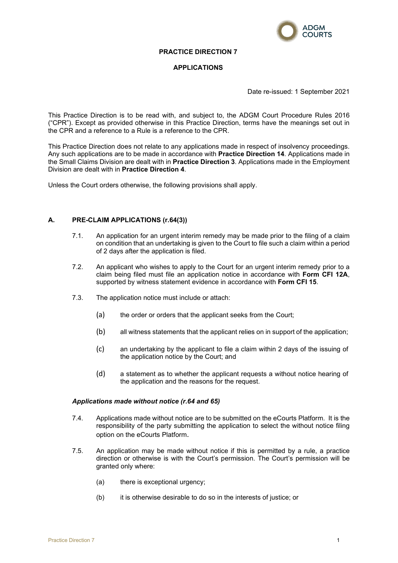

### **PRACTICE DIRECTION 7**

### **APPLICATIONS**

Date re-issued: 1 September 2021

This Practice Direction is to be read with, and subject to, the ADGM Court Procedure Rules 2016 ("CPR"). Except as provided otherwise in this Practice Direction, terms have the meanings set out in the CPR and a reference to a Rule is a reference to the CPR.

This Practice Direction does not relate to any applications made in respect of insolvency proceedings. Any such applications are to be made in accordance with **Practice Direction 14**. Applications made in the Small Claims Division are dealt with in **Practice Direction 3**. Applications made in the Employment Division are dealt with in **Practice Direction 4**.

Unless the Court orders otherwise, the following provisions shall apply.

### <span id="page-2-0"></span>**A. PRE-CLAIM APPLICATIONS (r.64(3))**

- 7.1. An application for an urgent interim remedy may be made prior to the filing of a claim on condition that an undertaking is given to the Court to file such a claim within a period of 2 days after the application is filed.
- 7.2. An applicant who wishes to apply to the Court for an urgent interim remedy prior to a claim being filed must file an application notice in accordance with **Form CFI 12A**, supported by witness statement evidence in accordance with **Form CFI 15**.
- 7.3. The application notice must include or attach:
	- (a) the order or orders that the applicant seeks from the Court;
	- (b) all witness statements that the applicant relies on in support of the application;
	- (c) an undertaking by the applicant to file a claim within 2 days of the issuing of the application notice by the Court; and
	- (d) a statement as to whether the applicant requests a without notice hearing of the application and the reasons for the request.

#### <span id="page-2-1"></span>*Applications made without notice (r.64 and 65)*

- 7.4. Applications made without notice are to be submitted on the eCourts Platform. It is the responsibility of the party submitting the application to select the without notice filing option on the eCourts Platform.
- 7.5. An application may be made without notice if this is permitted by a rule, a practice direction or otherwise is with the Court's permission. The Court's permission will be granted only where:
	- (a) there is exceptional urgency;
	- (b) it is otherwise desirable to do so in the interests of justice; or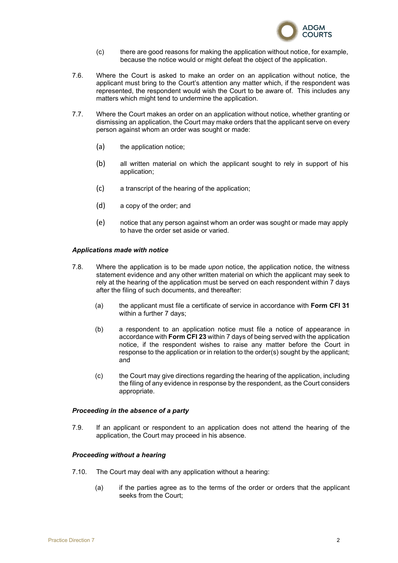

- (c) there are good reasons for making the application without notice, for example, because the notice would or might defeat the object of the application.
- 7.6. Where the Court is asked to make an order on an application without notice, the applicant must bring to the Court's attention any matter which, if the respondent was represented, the respondent would wish the Court to be aware of. This includes any matters which might tend to undermine the application.
- 7.7. Where the Court makes an order on an application without notice, whether granting or dismissing an application, the Court may make orders that the applicant serve on every person against whom an order was sought or made:
	- (a) the application notice;
	- (b) all written material on which the applicant sought to rely in support of his application;
	- (c) a transcript of the hearing of the application;
	- (d) a copy of the order; and
	- (e) notice that any person against whom an order was sought or made may apply to have the order set aside or varied.

#### <span id="page-3-0"></span>*Applications made with notice*

- 7.8. Where the application is to be made *upon* notice, the application notice, the witness statement evidence and any other written material on which the applicant may seek to rely at the hearing of the application must be served on each respondent within 7 days after the filing of such documents, and thereafter:
	- (a) the applicant must file a certificate of service in accordance with **Form CFI 31** within a further 7 days;
	- (b) a respondent to an application notice must file a notice of appearance in accordance with **Form CFI 23** within 7 days of being served with the application notice, if the respondent wishes to raise any matter before the Court in response to the application or in relation to the order(s) sought by the applicant; and
	- (c) the Court may give directions regarding the hearing of the application, including the filing of any evidence in response by the respondent, as the Court considers appropriate.

#### <span id="page-3-1"></span>*Proceeding in the absence of a party*

7.9. If an applicant or respondent to an application does not attend the hearing of the application, the Court may proceed in his absence.

#### <span id="page-3-2"></span>*Proceeding without a hearing*

- 7.10. The Court may deal with any application without a hearing:
	- (a) if the parties agree as to the terms of the order or orders that the applicant seeks from the Court;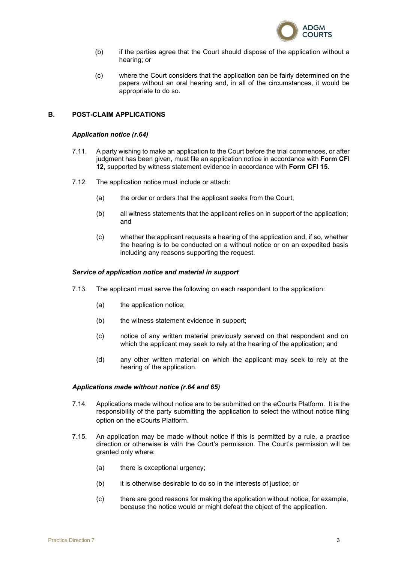

- (b) if the parties agree that the Court should dispose of the application without a hearing; or
- (c) where the Court considers that the application can be fairly determined on the papers without an oral hearing and, in all of the circumstances, it would be appropriate to do so.

# <span id="page-4-1"></span><span id="page-4-0"></span>**B. POST-CLAIM APPLICATIONS**

#### *Application notice (r.64)*

- 7.11. A party wishing to make an application to the Court before the trial commences, or after judgment has been given, must file an application notice in accordance with **Form CFI 12**, supported by witness statement evidence in accordance with **Form CFI 15**.
- 7.12. The application notice must include or attach:
	- (a) the order or orders that the applicant seeks from the Court;
	- (b) all witness statements that the applicant relies on in support of the application; and
	- (c) whether the applicant requests a hearing of the application and, if so, whether the hearing is to be conducted on a without notice or on an expedited basis including any reasons supporting the request.

#### <span id="page-4-2"></span>*Service of application notice and material in support*

- 7.13. The applicant must serve the following on each respondent to the application:
	- (a) the application notice;
	- (b) the witness statement evidence in support;
	- (c) notice of any written material previously served on that respondent and on which the applicant may seek to rely at the hearing of the application; and
	- (d) any other written material on which the applicant may seek to rely at the hearing of the application.

#### <span id="page-4-3"></span>*Applications made without notice (r.64 and 65)*

- 7.14. Applications made without notice are to be submitted on the eCourts Platform. It is the responsibility of the party submitting the application to select the without notice filing option on the eCourts Platform.
- 7.15. An application may be made without notice if this is permitted by a rule, a practice direction or otherwise is with the Court's permission. The Court's permission will be granted only where:
	- (a) there is exceptional urgency;
	- (b) it is otherwise desirable to do so in the interests of justice; or
	- (c) there are good reasons for making the application without notice, for example, because the notice would or might defeat the object of the application.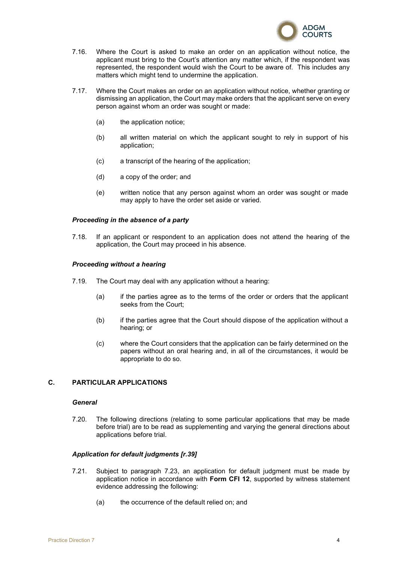

- 7.16. Where the Court is asked to make an order on an application without notice, the applicant must bring to the Court's attention any matter which, if the respondent was represented, the respondent would wish the Court to be aware of. This includes any matters which might tend to undermine the application.
- 7.17. Where the Court makes an order on an application without notice, whether granting or dismissing an application, the Court may make orders that the applicant serve on every person against whom an order was sought or made:
	- (a) the application notice;
	- (b) all written material on which the applicant sought to rely in support of his application;
	- (c) a transcript of the hearing of the application;
	- (d) a copy of the order; and
	- (e) written notice that any person against whom an order was sought or made may apply to have the order set aside or varied.

### <span id="page-5-0"></span>*Proceeding in the absence of a party*

7.18. If an applicant or respondent to an application does not attend the hearing of the application, the Court may proceed in his absence.

#### <span id="page-5-1"></span>*Proceeding without a hearing*

- 7.19. The Court may deal with any application without a hearing:
	- (a) if the parties agree as to the terms of the order or orders that the applicant seeks from the Court;
	- (b) if the parties agree that the Court should dispose of the application without a hearing; or
	- (c) where the Court considers that the application can be fairly determined on the papers without an oral hearing and, in all of the circumstances, it would be appropriate to do so.

# <span id="page-5-3"></span><span id="page-5-2"></span>**C. PARTICULAR APPLICATIONS**

### *General*

7.20. The following directions (relating to some particular applications that may be made before trial) are to be read as supplementing and varying the general directions about applications before trial.

#### <span id="page-5-4"></span>*Application for default judgments [r.39]*

- 7.21. Subject to paragraph 7.23, an application for default judgment must be made by application notice in accordance with **Form CFI 12**, supported by witness statement evidence addressing the following:
	- (a) the occurrence of the default relied on; and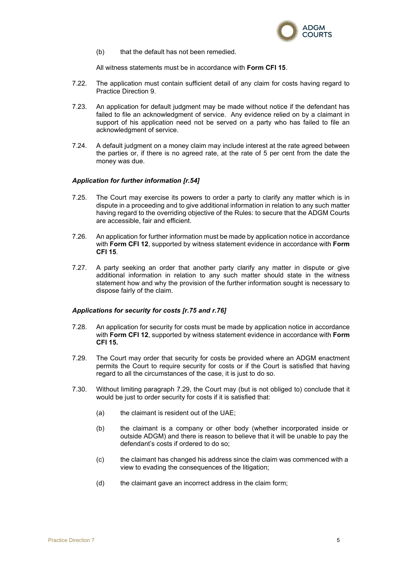

(b) that the default has not been remedied.

All witness statements must be in accordance with **Form CFI 15**.

- 7.22. The application must contain sufficient detail of any claim for costs having regard to Practice Direction 9.
- 7.23. An application for default judgment may be made without notice if the defendant has failed to file an acknowledgment of service. Any evidence relied on by a claimant in support of his application need not be served on a party who has failed to file an acknowledgment of service.
- 7.24. A default judgment on a money claim may include interest at the rate agreed between the parties or, if there is no agreed rate, at the rate of 5 per cent from the date the money was due.

### <span id="page-6-0"></span>*Application for further information [r.54]*

- 7.25. The Court may exercise its powers to order a party to clarify any matter which is in dispute in a proceeding and to give additional information in relation to any such matter having regard to the overriding objective of the Rules: to secure that the ADGM Courts are accessible, fair and efficient.
- 7.26. An application for further information must be made by application notice in accordance with **Form CFI 12**, supported by witness statement evidence in accordance with **Form CFI 15**.
- 7.27. A party seeking an order that another party clarify any matter in dispute or give additional information in relation to any such matter should state in the witness statement how and why the provision of the further information sought is necessary to dispose fairly of the claim.

### <span id="page-6-1"></span>*Applications for security for costs [r.75 and r.76]*

- 7.28. An application for security for costs must be made by application notice in accordance with **Form CFI 12**, supported by witness statement evidence in accordance with **Form CFI 15.**
- 7.29. The Court may order that security for costs be provided where an ADGM enactment permits the Court to require security for costs or if the Court is satisfied that having regard to all the circumstances of the case, it is just to do so.
- 7.30. Without limiting paragraph 7.29, the Court may (but is not obliged to) conclude that it would be just to order security for costs if it is satisfied that:
	- (a) the claimant is resident out of the UAE;
	- (b) the claimant is a company or other body (whether incorporated inside or outside ADGM) and there is reason to believe that it will be unable to pay the defendant's costs if ordered to do so;
	- (c) the claimant has changed his address since the claim was commenced with a view to evading the consequences of the litigation;
	- (d) the claimant gave an incorrect address in the claim form;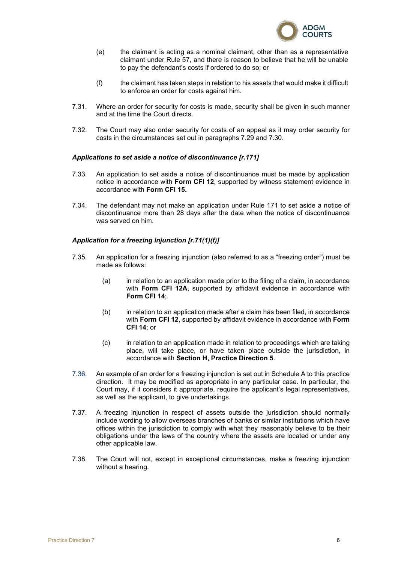

- (e) the claimant is acting as a nominal claimant, other than as a representative claimant under Rule 57, and there is reason to believe that he will be unable to pay the defendant's costs if ordered to do so; or
- (f) the claimant has taken steps in relation to his assets that would make it difficult to enforce an order for costs against him.
- 7.31. Where an order for security for costs is made, security shall be given in such manner and at the time the Court directs.
- 7.32. The Court may also order security for costs of an appeal as it may order security for costs in the circumstances set out in paragraphs 7.29 and 7.30.

#### <span id="page-7-0"></span>*Applications to set aside a notice of discontinuance [r.171]*

- 7.33. An application to set aside a notice of discontinuance must be made by application notice in accordance with **Form CFI 12**, supported by witness statement evidence in accordance with **Form CFI 15.**
- 7.34. The defendant may not make an application under Rule 171 to set aside a notice of discontinuance more than 28 days after the date when the notice of discontinuance was served on him.

### <span id="page-7-1"></span>*Application for a freezing injunction [r.71(1)(f)]*

- 7.35. An application for a freezing injunction (also referred to as a "freezing order") must be made as follows:
	- (a) in relation to an application made prior to the filing of a claim, in accordance with **Form CFI 12A**, supported by affidavit evidence in accordance with **Form CFI 14**;
	- (b) in relation to an application made after a claim has been filed, in accordance with **Form CFI 12**, supported by affidavit evidence in accordance with **Form CFI 14**; or
	- (c) in relation to an application made in relation to proceedings which are taking place, will take place, or have taken place outside the jurisdiction, in accordance with **Section H, Practice Direction 5**.
- 7.36. An example of an order for a freezing injunction is set out in Schedule A to this practice direction. It may be modified as appropriate in any particular case. In particular, the Court may, if it considers it appropriate, require the applicant's legal representatives, as well as the applicant, to give undertakings.
- 7.37. A freezing injunction in respect of assets outside the jurisdiction should normally include wording to allow overseas branches of banks or similar institutions which have offices within the jurisdiction to comply with what they reasonably believe to be their obligations under the laws of the country where the assets are located or under any other applicable law.
- 7.38. The Court will not, except in exceptional circumstances, make a freezing injunction without a hearing.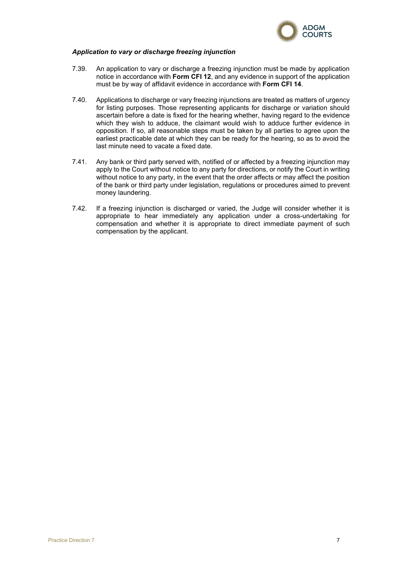

### *Application to vary or discharge freezing injunction*

- 7.39. An application to vary or discharge a freezing injunction must be made by application notice in accordance with **Form CFI 12**, and any evidence in support of the application must be by way of affidavit evidence in accordance with **Form CFI 14**.
- 7.40. Applications to discharge or vary freezing injunctions are treated as matters of urgency for listing purposes. Those representing applicants for discharge or variation should ascertain before a date is fixed for the hearing whether, having regard to the evidence which they wish to adduce, the claimant would wish to adduce further evidence in opposition. If so, all reasonable steps must be taken by all parties to agree upon the earliest practicable date at which they can be ready for the hearing, so as to avoid the last minute need to vacate a fixed date.
- 7.41. Any bank or third party served with, notified of or affected by a freezing injunction may apply to the Court without notice to any party for directions, or notify the Court in writing without notice to any party, in the event that the order affects or may affect the position of the bank or third party under legislation, regulations or procedures aimed to prevent money laundering.
- 7.42. If a freezing injunction is discharged or varied, the Judge will consider whether it is appropriate to hear immediately any application under a cross-undertaking for compensation and whether it is appropriate to direct immediate payment of such compensation by the applicant.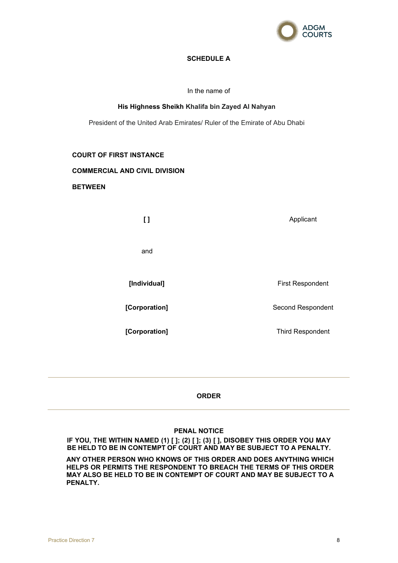

# **SCHEDULE A**

In the name of

### **His Highness Sheikh Khalifa bin Zayed Al Nahyan**

<span id="page-9-0"></span>President of the United Arab Emirates/ Ruler of the Emirate of Abu Dhabi

### **COURT OF FIRST INSTANCE**

#### **COMMERCIAL AND CIVIL DIVISION**

**BETWEEN**

**[ ]** Applicant and **[Individual]** First Respondent **[Corporation]** Second Respondent **[Corporation]** Third Respondent

# **ORDER**

# **PENAL NOTICE**

**IF YOU, THE WITHIN NAMED (1) [ ]; (2) [ ]; (3) [ ], DISOBEY THIS ORDER YOU MAY BE HELD TO BE IN CONTEMPT OF COURT AND MAY BE SUBJECT TO A PENALTY.** 

**ANY OTHER PERSON WHO KNOWS OF THIS ORDER AND DOES ANYTHING WHICH HELPS OR PERMITS THE RESPONDENT TO BREACH THE TERMS OF THIS ORDER MAY ALSO BE HELD TO BE IN CONTEMPT OF COURT AND MAY BE SUBJECT TO A PENALTY.**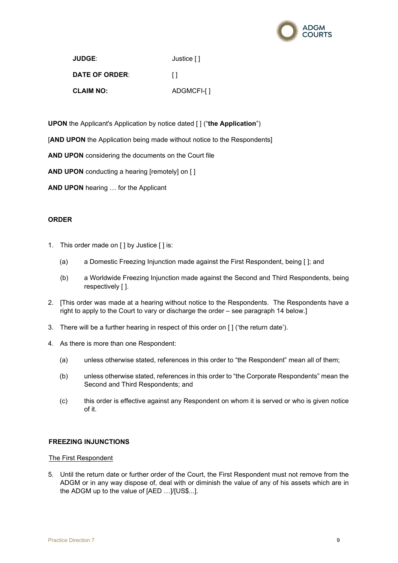

| <b>JUDGE:</b>         | Justice [] |
|-----------------------|------------|
| <b>DATE OF ORDER:</b> | $\perp$    |
| <b>CLAIM NO:</b>      | ADGMCFI-[] |

**UPON** the Applicant's Application by notice dated [ ] ("**the Application**")

[**AND UPON** the Application being made without notice to the Respondents]

**AND UPON** considering the documents on the Court file

**AND UPON** conducting a hearing [remotely] on [ ]

**AND UPON** hearing … for the Applicant

# **ORDER**

- 1. This order made on [ ] by Justice [ ] is:
	- (a) a Domestic Freezing Injunction made against the First Respondent, being [ ]; and
	- (b) a Worldwide Freezing Injunction made against the Second and Third Respondents, being respectively [ ].
- 2. [This order was made at a hearing without notice to the Respondents. The Respondents have a right to apply to the Court to vary or discharge the order – see paragraph 14 below.]
- 3. There will be a further hearing in respect of this order on [ ] ('the return date').
- 4. As there is more than one Respondent:
	- (a) unless otherwise stated, references in this order to "the Respondent" mean all of them;
	- (b) unless otherwise stated, references in this order to "the Corporate Respondents" mean the Second and Third Respondents; and
	- (c) this order is effective against any Respondent on whom it is served or who is given notice of it.

# **FREEZING INJUNCTIONS**

### The First Respondent

5. Until the return date or further order of the Court, the First Respondent must not remove from the ADGM or in any way dispose of, deal with or diminish the value of any of his assets which are in the ADGM up to the value of [AED …]/[US\$...].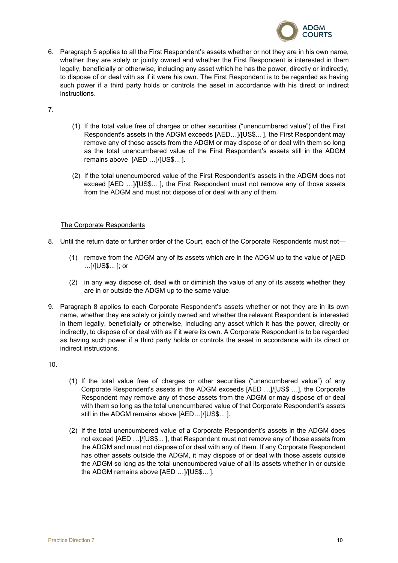

6. Paragraph 5 applies to all the First Respondent's assets whether or not they are in his own name, whether they are solely or jointly owned and whether the First Respondent is interested in them legally, beneficially or otherwise, including any asset which he has the power, directly or indirectly, to dispose of or deal with as if it were his own. The First Respondent is to be regarded as having such power if a third party holds or controls the asset in accordance with his direct or indirect instructions.

7.

- (1) If the total value free of charges or other securities ("unencumbered value") of the First Respondent's assets in the ADGM exceeds [AED…]/[US\$... ], the First Respondent may remove any of those assets from the ADGM or may dispose of or deal with them so long as the total unencumbered value of the First Respondent's assets still in the ADGM remains above [AED …]/[US\$... ].
- (2) If the total unencumbered value of the First Respondent's assets in the ADGM does not exceed [AED …]/[US\$... ], the First Respondent must not remove any of those assets from the ADGM and must not dispose of or deal with any of them.

# The Corporate Respondents

- 8. Until the return date or further order of the Court, each of the Corporate Respondents must not—
	- (1) remove from the ADGM any of its assets which are in the ADGM up to the value of [AED …]/[US\$... ]; or
	- (2) in any way dispose of, deal with or diminish the value of any of its assets whether they are in or outside the ADGM up to the same value.
- 9. Paragraph 8 applies to each Corporate Respondent's assets whether or not they are in its own name, whether they are solely or jointly owned and whether the relevant Respondent is interested in them legally, beneficially or otherwise, including any asset which it has the power, directly or indirectly, to dispose of or deal with as if it were its own. A Corporate Respondent is to be regarded as having such power if a third party holds or controls the asset in accordance with its direct or indirect instructions.

10.

- (1) If the total value free of charges or other securities ("unencumbered value") of any Corporate Respondent's assets in the ADGM exceeds [AED …]/[US\$ …], the Corporate Respondent may remove any of those assets from the ADGM or may dispose of or deal with them so long as the total unencumbered value of that Corporate Respondent's assets still in the ADGM remains above [AED…]/[US\$... ].
- (2) If the total unencumbered value of a Corporate Respondent's assets in the ADGM does not exceed [AED …]/[US\$... ], that Respondent must not remove any of those assets from the ADGM and must not dispose of or deal with any of them. If any Corporate Respondent has other assets outside the ADGM, it may dispose of or deal with those assets outside the ADGM so long as the total unencumbered value of all its assets whether in or outside the ADGM remains above [AED …]/[US\$... ].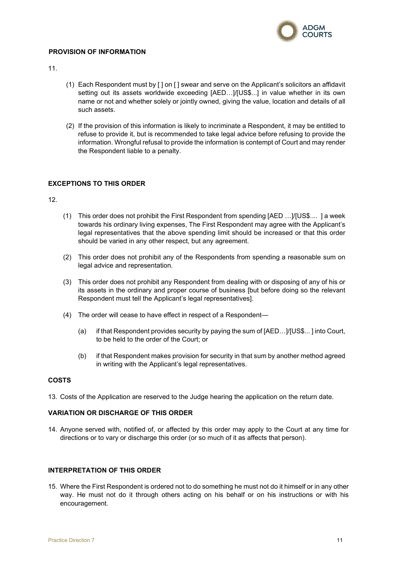

# **PROVISION OF INFORMATION**

11.

- (1) Each Respondent must by [ ] on [ ] swear and serve on the Applicant's solicitors an affidavit setting out its assets worldwide exceeding [AED…]/[US\$...] in value whether in its own name or not and whether solely or jointly owned, giving the value, location and details of all such assets.
- (2) If the provision of this information is likely to incriminate a Respondent, it may be entitled to refuse to provide it, but is recommended to take legal advice before refusing to provide the information. Wrongful refusal to provide the information is contempt of Court and may render the Respondent liable to a penalty.

# **EXCEPTIONS TO THIS ORDER**

12.

- (1) This order does not prohibit the First Respondent from spending [AED …]/[US\$.... ] a week towards his ordinary living expenses, The First Respondent may agree with the Applicant's legal representatives that the above spending limit should be increased or that this order should be varied in any other respect, but any agreement.
- (2) This order does not prohibit any of the Respondents from spending a reasonable sum on legal advice and representation.
- (3) This order does not prohibit any Respondent from dealing with or disposing of any of his or its assets in the ordinary and proper course of business [but before doing so the relevant Respondent must tell the Applicant's legal representatives].
- (4) The order will cease to have effect in respect of a Respondent—
	- (a) if that Respondent provides security by paying the sum of [AED…]/[US\$... ] into Court, to be held to the order of the Court; or
	- (b) if that Respondent makes provision for security in that sum by another method agreed in writing with the Applicant's legal representatives.

# **COSTS**

13. Costs of the Application are reserved to the Judge hearing the application on the return date.

# **VARIATION OR DISCHARGE OF THIS ORDER**

14. Anyone served with, notified of, or affected by this order may apply to the Court at any time for directions or to vary or discharge this order (or so much of it as affects that person).

### **INTERPRETATION OF THIS ORDER**

15. Where the First Respondent is ordered not to do something he must not do it himself or in any other way. He must not do it through others acting on his behalf or on his instructions or with his encouragement.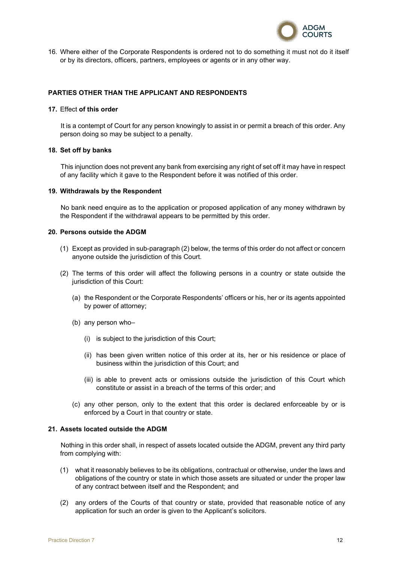

16. Where either of the Corporate Respondents is ordered not to do something it must not do it itself or by its directors, officers, partners, employees or agents or in any other way.

# **PARTIES OTHER THAN THE APPLICANT AND RESPONDENTS**

#### **17.** Effect **of this order**

It is a contempt of Court for any person knowingly to assist in or permit a breach of this order. Any person doing so may be subject to a penalty.

#### **18. Set off by banks**

This injunction does not prevent any bank from exercising any right of set off it may have in respect of any facility which it gave to the Respondent before it was notified of this order.

#### **19. Withdrawals by the Respondent**

No bank need enquire as to the application or proposed application of any money withdrawn by the Respondent if the withdrawal appears to be permitted by this order.

### **20. Persons outside the ADGM**

- (1) Except as provided in sub-paragraph (2) below, the terms of this order do not affect or concern anyone outside the jurisdiction of this Court.
- (2) The terms of this order will affect the following persons in a country or state outside the jurisdiction of this Court:
	- (a) the Respondent or the Corporate Respondents' officers or his, her or its agents appointed by power of attorney;
	- (b) any person who–
		- (i) is subject to the jurisdiction of this Court;
		- (ii) has been given written notice of this order at its, her or his residence or place of business within the jurisdiction of this Court; and
		- (iii) is able to prevent acts or omissions outside the jurisdiction of this Court which constitute or assist in a breach of the terms of this order; and
	- (c) any other person, only to the extent that this order is declared enforceable by or is enforced by a Court in that country or state.

#### **21. Assets located outside the ADGM**

Nothing in this order shall, in respect of assets located outside the ADGM, prevent any third party from complying with:

- (1) what it reasonably believes to be its obligations, contractual or otherwise, under the laws and obligations of the country or state in which those assets are situated or under the proper law of any contract between itself and the Respondent; and
- (2) any orders of the Courts of that country or state, provided that reasonable notice of any application for such an order is given to the Applicant's solicitors.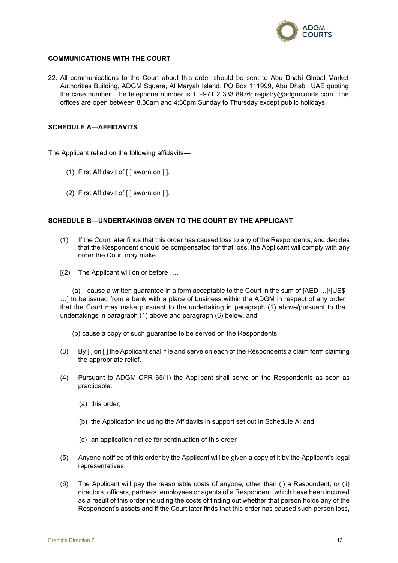

### **COMMUNICATIONS WITH THE COURT**

22. All communications to the Court about this order should be sent to Abu Dhabi Global Market Authorities Building, ADGM Square, Al Maryah Island, PO Box 111999, Abu Dhabi, UAE quoting the case number. The telephone number is T +971 2 333 8976; [registry@adgmcourts.com.](mailto:registry@adgmcourts.com) The offices are open between 8.30am and 4:30pm Sunday to Thursday except public holidays.

### **SCHEDULE A—AFFIDAVITS**

The Applicant relied on the following affidavits—

- (1) First Affidavit of [ ] sworn on [ ].
- (2) First Affidavit of [ ] sworn on [ ].

### **SCHEDULE B—UNDERTAKINGS GIVEN TO THE COURT BY THE APPLICANT**

- (1) If the Court later finds that this order has caused loss to any of the Respondents, and decides that the Respondent should be compensated for that loss, the Applicant will comply with any order the Court may make.
- [(2) The Applicant will on or before ….

(a) cause a written guarantee in a form acceptable to the Court in the sum of [AED …]/[US\$ …] to be issued from a bank with a place of business within the ADGM in respect of any order that the Court may make pursuant to the undertaking in paragraph (1) above/pursuant to the undertakings in paragraph (1) above and paragraph (6) below, and

(b) cause a copy of such guarantee to be served on the Respondents

- (3) By [ ] on [ ] the Applicant shall file and serve on each of the Respondents a claim form claiming the appropriate relief.
- (4) Pursuant to ADGM CPR 65(1) the Applicant shall serve on the Respondents as soon as practicable:
	- (a) this order;
	- (b) the Application including the Affidavits in support set out in Schedule A; and
	- (c) an application notice for continuation of this order
- (5) Anyone notified of this order by the Applicant will be given a copy of it by the Applicant's legal representatives.
- (6) The Applicant will pay the reasonable costs of anyone, other than (i) a Respondent; or (ii) directors, officers, partners, employees or agents of a Respondent, which have been incurred as a result of this order including the costs of finding out whether that person holds any of the Respondent's assets and if the Court later finds that this order has caused such person loss,